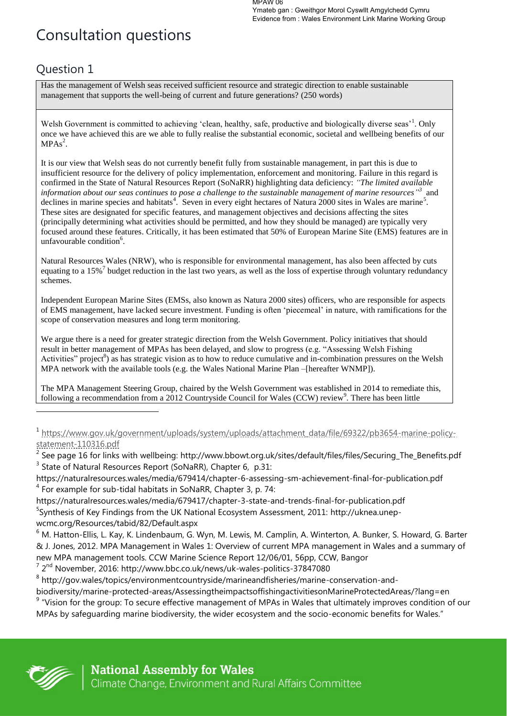# Consultation questions

# Question 1

Has the management of Welsh seas received sufficient resource and strategic direction to enable sustainable management that supports the well-being of current and future generations? (250 words)

Welsh Government is committed to achieving 'clean, healthy, safe, productive and biologically diverse seas'<sup>1</sup>. Only once we have achieved this are we able to fully realise the substantial economic, societal and wellbeing benefits of our  $MPAs<sup>2</sup>$ .

It is our view that Welsh seas do not currently benefit fully from sustainable management, in part this is due to insufficient resource for the delivery of policy implementation, enforcement and monitoring. Failure in this regard is confirmed in the State of Natural Resources Report (SoNaRR) highlighting data deficiency: *"The limited available information about our seas continues to pose a challenge to the sustainable management of marine resources*<sup>33</sup> and declines in marine species and habitats<sup>4</sup>. Seven in every eight hectares of Natura 2000 sites in Wales are marine<sup>5</sup>. These sites are designated for specific features, and management objectives and decisions affecting the sites (principally determining what activities should be permitted, and how they should be managed) are typically very focused around these features. Critically, it has been estimated that 50% of European Marine Site (EMS) features are in unfavourable condition<sup>6</sup>.

Natural Resources Wales (NRW), who is responsible for environmental management, has also been affected by cuts equating to a 15%<sup>7</sup> budget reduction in the last two years, as well as the loss of expertise through voluntary redundancy schemes.

Independent European Marine Sites (EMSs, also known as Natura 2000 sites) officers, who are responsible for aspects of EMS management, have lacked secure investment. Funding is often 'piecemeal' in nature, with ramifications for the scope of conservation measures and long term monitoring.

We argue there is a need for greater strategic direction from the Welsh Government. Policy initiatives that should result in better management of MPAs has been delayed, and slow to progress (e.g. "Assessing Welsh Fishing Activities" project<sup>8</sup>) as has strategic vision as to how to reduce cumulative and in-combination pressures on the Welsh MPA network with the available tools (e.g. the Wales National Marine Plan –[hereafter WNMP]).

The MPA Management Steering Group, chaired by the Welsh Government was established in 2014 to remediate this, following a recommendation from a 2012 Countryside Council for Wales (CCW) review<sup>9</sup>. There has been little

 $^{7}$  2<sup>nd</sup> November, 2016: http://www.bbc.co.uk/news/uk-wales-politics-37847080

<sup>8</sup> http://gov.wales/topics/environmentcountryside/marineandfisheries/marine-conservation-and-

biodiversity/marine-protected-areas/AssessingtheimpactsoffishingactivitiesonMarineProtectedAreas/?lang=en

 $9$  "Vision for the group: To secure effective management of MPAs in Wales that ultimately improves condition of our MPAs by safeguarding marine biodiversity, the wider ecosystem and the socio-economic benefits for Wales."



<sup>1</sup> [https://www.gov.uk/government/uploads/system/uploads/attachment\\_data/file/69322/pb3654-marine-policy](https://www.gov.uk/government/uploads/system/uploads/attachment_data/file/69322/pb3654-marine-policy-statement-110316.pdf)[statement-110316.pdf](https://www.gov.uk/government/uploads/system/uploads/attachment_data/file/69322/pb3654-marine-policy-statement-110316.pdf) 

<sup>&</sup>lt;sup>2</sup> See page 16 for links with wellbeing: http://www.bbowt.org.uk/sites/default/files/files/Securing\_The\_Benefits.pdf  $3$  State of Natural Resources Report (SoNaRR), Chapter 6, p.31:

https://naturalresources.wales/media/679414/chapter-6-assessing-sm-achievement-final-for-publication.pdf  $4$  For example for sub-tidal habitats in SoNaRR, Chapter 3, p. 74:

https://naturalresources.wales/media/679417/chapter-3-state-and-trends-final-for-publication.pdf <sup>5</sup>Synthesis of Key Findings from the UK National Ecosystem Assessment, 2011: http://uknea.unepwcmc.org/Resources/tabid/82/Default.aspx

<sup>&</sup>lt;sup>6</sup> M. Hatton-Ellis, L. Kay, K. Lindenbaum, G. Wyn, M. Lewis, M. Camplin, A. Winterton, A. Bunker, S. Howard, G. Barter & J. Jones, 2012. MPA Management in Wales 1: Overview of current MPA management in Wales and a summary of new MPA management tools. CCW Marine Science Report 12/06/01, 56pp, CCW, Bangor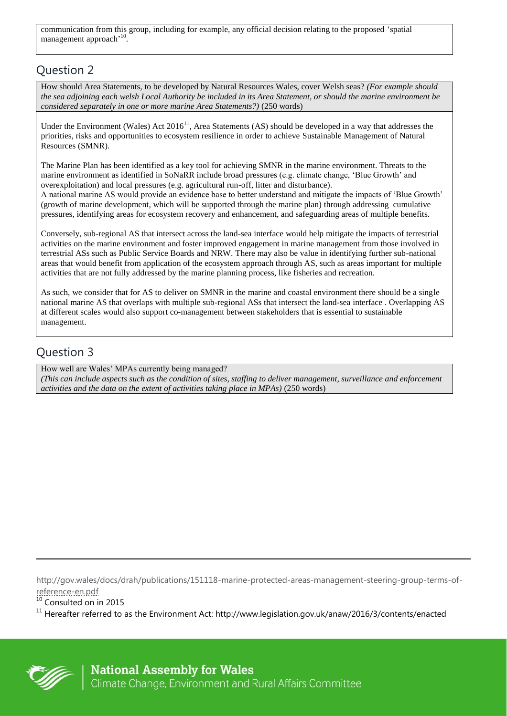communication from this group, including for example, any official decision relating to the proposed 'spatial management approach<sup>, 10</sup>.

#### Question 2

How should Area Statements, to be developed by Natural Resources Wales, cover Welsh seas? *(For example should the sea adjoining each welsh Local Authority be included in its Area Statement, or should the marine environment be considered separately in one or more marine Area Statements?)* (250 words)

Under the Environment (Wales) Act 2016<sup>11</sup>, Area Statements (AS) should be developed in a way that addresses the priorities, risks and opportunities to ecosystem resilience in order to achieve Sustainable Management of Natural Resources (SMNR).

The Marine Plan has been identified as a key tool for achieving SMNR in the marine environment. Threats to the marine environment as identified in SoNaRR include broad pressures (e.g. climate change, 'Blue Growth' and overexploitation) and local pressures (e.g. agricultural run-off, litter and disturbance).

A national marine AS would provide an evidence base to better understand and mitigate the impacts of 'Blue Growth' (growth of marine development, which will be supported through the marine plan) through addressing cumulative pressures, identifying areas for ecosystem recovery and enhancement, and safeguarding areas of multiple benefits.

Conversely, sub-regional AS that intersect across the land-sea interface would help mitigate the impacts of terrestrial activities on the marine environment and foster improved engagement in marine management from those involved in terrestrial ASs such as Public Service Boards and NRW. There may also be value in identifying further sub-national areas that would benefit from application of the ecosystem approach through AS, such as areas important for multiple activities that are not fully addressed by the marine planning process, like fisheries and recreation.

As such, we consider that for AS to deliver on SMNR in the marine and coastal environment there should be a single national marine AS that overlaps with multiple sub-regional ASs that intersect the land-sea interface . Overlapping AS at different scales would also support co-management between stakeholders that is essential to sustainable management.

#### Question 3

How well are Wales' MPAs currently being managed? *(This can include aspects such as the condition of sites, staffing to deliver management, surveillance and enforcement activities and the data on the extent of activities taking place in MPAs)* (250 words)

[http://gov.wales/docs/drah/publications/151118-marine-protected-areas-management-steering-group-terms-of](http://gov.wales/docs/drah/publications/151118-marine-protected-areas-management-steering-group-terms-of-reference-en.pdf)[reference-en.pdf](http://gov.wales/docs/drah/publications/151118-marine-protected-areas-management-steering-group-terms-of-reference-en.pdf)

<sup>10</sup> Consulted on in 2015

 $11$  Hereafter referred to as the Environment Act: http://www.legislation.gov.uk/anaw/2016/3/contents/enacted



 $\overline{a}$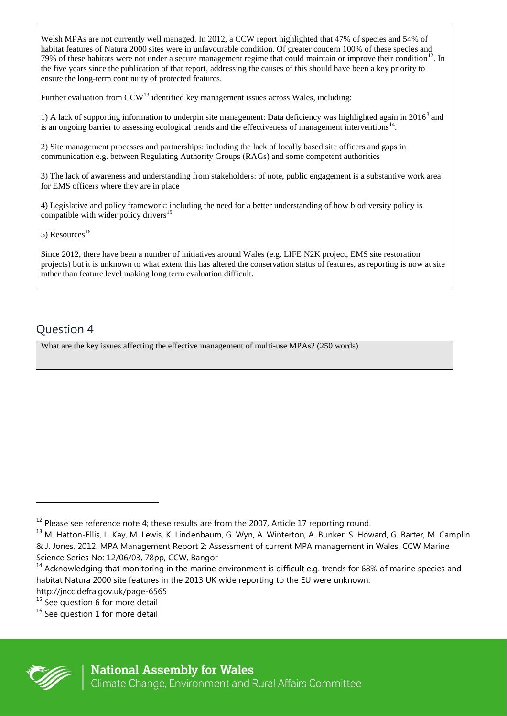Welsh MPAs are not currently well managed. In 2012, a CCW report highlighted that 47% of species and 54% of habitat features of Natura 2000 sites were in unfavourable condition. Of greater concern 100% of these species and 79% of these habitats were not under a secure management regime that could maintain or improve their condition<sup>12</sup>. In the five years since the publication of that report, addressing the causes of this should have been a key priority to ensure the long-term continuity of protected features.

Further evaluation from CCW<sup>13</sup> identified key management issues across Wales, including:

1) A lack of supporting information to underpin site management: Data deficiency was highlighted again in  $2016<sup>3</sup>$  and is an ongoing barrier to assessing ecological trends and the effectiveness of management interventions<sup>14</sup>.

2) Site management processes and partnerships: including the lack of locally based site officers and gaps in communication e.g. between Regulating Authority Groups (RAGs) and some competent authorities

3) The lack of awareness and understanding from stakeholders: of note, public engagement is a substantive work area for EMS officers where they are in place

4) Legislative and policy framework: including the need for a better understanding of how biodiversity policy is compatible with wider policy drivers<sup>1</sup>

5) Resources<sup>16</sup>

Since 2012, there have been a number of initiatives around Wales (e.g. LIFE N2K project, EMS site restoration projects) but it is unknown to what extent this has altered the conservation status of features, as reporting is now at site rather than feature level making long term evaluation difficult.

# Question 4

What are the key issues affecting the effective management of multi-use MPAs? (250 words)



 $12$  Please see reference note 4; these results are from the 2007, Article 17 reporting round.

<sup>&</sup>lt;sup>13</sup> M. Hatton-Ellis, L. Kay, M. Lewis, K. Lindenbaum, G. Wyn, A. Winterton, A. Bunker, S. Howard, G. Barter, M. Camplin & J. Jones, 2012. MPA Management Report 2: Assessment of current MPA management in Wales. CCW Marine Science Series No: 12/06/03, 78pp, CCW, Bangor

<sup>&</sup>lt;sup>14</sup> Acknowledging that monitoring in the marine environment is difficult e.g. trends for 68% of marine species and habitat Natura 2000 site features in the 2013 UK wide reporting to the EU were unknown:

http://jncc.defra.gov.uk/page-6565

 $15$  See question 6 for more detail

<sup>&</sup>lt;sup>16</sup> See question 1 for more detail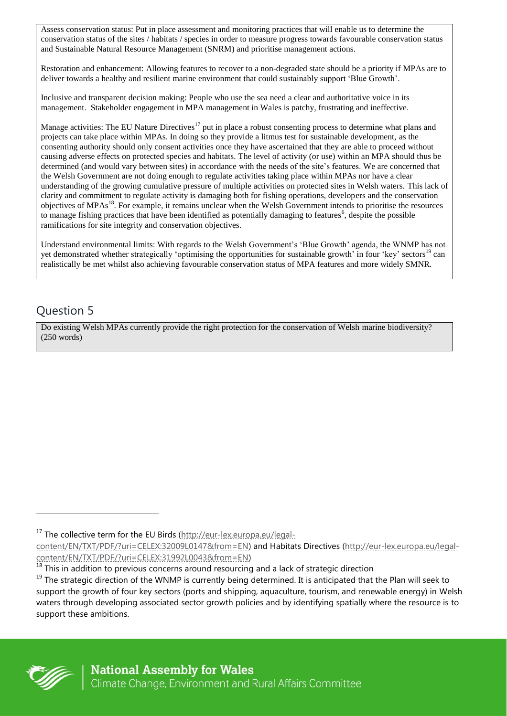Assess conservation status: Put in place assessment and monitoring practices that will enable us to determine the conservation status of the sites / habitats / species in order to measure progress towards favourable conservation status and Sustainable Natural Resource Management (SNRM) and prioritise management actions.

Restoration and enhancement: Allowing features to recover to a non-degraded state should be a priority if MPAs are to deliver towards a healthy and resilient marine environment that could sustainably support 'Blue Growth'.

Inclusive and transparent decision making: People who use the sea need a clear and authoritative voice in its management. Stakeholder engagement in MPA management in Wales is patchy, frustrating and ineffective.

Manage activities: The EU Nature Directives<sup>17</sup> put in place a robust consenting process to determine what plans and projects can take place within MPAs. In doing so they provide a litmus test for sustainable development, as the consenting authority should only consent activities once they have ascertained that they are able to proceed without causing adverse effects on protected species and habitats. The level of activity (or use) within an MPA should thus be determined (and would vary between sites) in accordance with the needs of the site's features. We are concerned that the Welsh Government are not doing enough to regulate activities taking place within MPAs nor have a clear understanding of the growing cumulative pressure of multiple activities on protected sites in Welsh waters. This lack of clarity and commitment to regulate activity is damaging both for fishing operations, developers and the conservation objectives of MPAs<sup>18</sup>. For example, it remains unclear when the Welsh Government intends to prioritise the resources to manage fishing practices that have been identified as potentially damaging to features<sup>6</sup>, despite the possible ramifications for site integrity and conservation objectives.

Understand environmental limits: With regards to the Welsh Government's 'Blue Growth' agenda, the WNMP has not yet demonstrated whether strategically 'optimising the opportunities for sustainable growth' in four 'key' sectors<sup>19</sup> can realistically be met whilst also achieving favourable conservation status of MPA features and more widely SMNR.

#### Question 5

Do existing Welsh MPAs currently provide the right protection for the conservation of Welsh marine biodiversity? (250 words)



l

<sup>&</sup>lt;sup>17</sup> The collective term for the EU Birds [\(http://eur-lex.europa.eu/legal-](http://eur-lex.europa.eu/legal-content/EN/TXT/PDF/?uri=CELEX:32009L0147&from=EN)

[content/EN/TXT/PDF/?uri=CELEX:32009L0147&from=EN\)](http://eur-lex.europa.eu/legal-content/EN/TXT/PDF/?uri=CELEX:32009L0147&from=EN) and Habitats Directives [\(http://eur-lex.europa.eu/legal](http://eur-lex.europa.eu/legal-content/EN/TXT/PDF/?uri=CELEX:31992L0043&from=EN)[content/EN/TXT/PDF/?uri=CELEX:31992L0043&from=EN\)](http://eur-lex.europa.eu/legal-content/EN/TXT/PDF/?uri=CELEX:31992L0043&from=EN)

<sup>&</sup>lt;sup>18</sup> This in addition to previous concerns around resourcing and a lack of strategic direction

 $19$  The strategic direction of the WNMP is currently being determined. It is anticipated that the Plan will seek to support the growth of four key sectors (ports and shipping, aquaculture, tourism, and renewable energy) in Welsh waters through developing associated sector growth policies and by identifying spatially where the resource is to support these ambitions.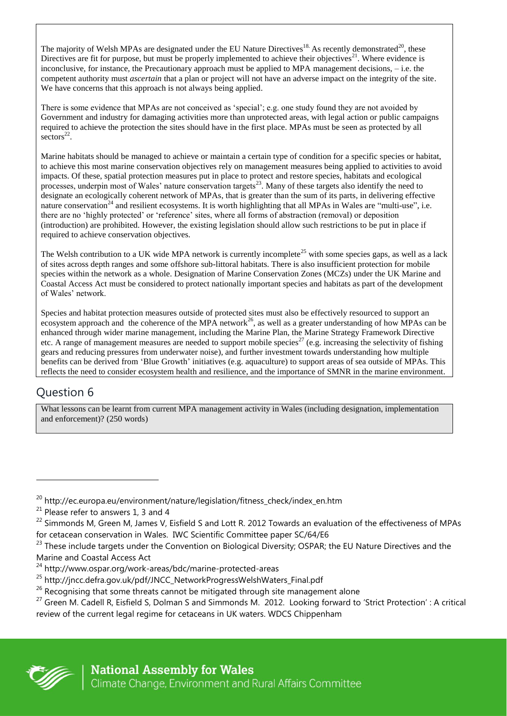The majority of Welsh MPAs are designated under the EU Nature Directives<sup>18.</sup> As recently demonstrated<sup>20</sup>, these Directives are fit for purpose, but must be properly implemented to achieve their objectives<sup>21</sup>. Where evidence is inconclusive, for instance, the Precautionary approach must be applied to MPA management decisions, – i.e. the competent authority must *ascertain* that a plan or project will not have an adverse impact on the integrity of the site. We have concerns that this approach is not always being applied.

There is some evidence that MPAs are not conceived as 'special'; e.g. one study found they are not avoided by Government and industry for damaging activities more than unprotected areas, with legal action or public campaigns required to achieve the protection the sites should have in the first place. MPAs must be seen as protected by all  $\rm{sectors}^{22}$ .

Marine habitats should be managed to achieve or maintain a certain type of condition for a specific species or habitat, to achieve this most marine conservation objectives rely on management measures being applied to activities to avoid impacts. Of these, spatial protection measures put in place to protect and restore species, habitats and ecological processes, underpin most of Wales' nature conservation targets<sup>23</sup>. Many of these targets also identify the need to designate an ecologically coherent network of MPAs, that is greater than the sum of its parts, in delivering effective nature conservation<sup>24</sup> and resilient ecosystems. It is worth highlighting that all MPAs in Wales are "multi-use", i.e. there are no 'highly protected' or 'reference' sites, where all forms of abstraction (removal) or deposition (introduction) are prohibited. However, the existing legislation should allow such restrictions to be put in place if required to achieve conservation objectives.

The Welsh contribution to a UK wide MPA network is currently incomplete<sup>25</sup> with some species gaps, as well as a lack of sites across depth ranges and some offshore sub-littoral habitats. There is also insufficient protection for mobile species within the network as a whole. Designation of Marine Conservation Zones (MCZs) under the UK Marine and Coastal Access Act must be considered to protect nationally important species and habitats as part of the development of Wales' network.

Species and habitat protection measures outside of protected sites must also be effectively resourced to support an ecosystem approach and the coherence of the MPA network<sup>26</sup>, as well as a greater understanding of how MPAs can be enhanced through wider marine management, including the Marine Plan, the Marine Strategy Framework Directive etc. A range of management measures are needed to support mobile species<sup>27</sup> (e.g. increasing the selectivity of fishing gears and reducing pressures from underwater noise), and further investment towards understanding how multiple benefits can be derived from 'Blue Growth' initiatives (e.g. aquaculture) to support areas of sea outside of MPAs. This reflects the need to consider ecosystem health and resilience, and the importance of SMNR in the marine environment.

# Question 6

What lessons can be learnt from current MPA management activity in Wales (including designation, implementation and enforcement)? (250 words)



<sup>&</sup>lt;sup>20</sup> http://ec.europa.eu/environment/nature/legislation/fitness\_check/index\_en.htm

 $21$  Please refer to answers 1, 3 and 4

<sup>&</sup>lt;sup>22</sup> Simmonds M, Green M, James V, Eisfield S and Lott R. 2012 Towards an evaluation of the effectiveness of MPAs for cetacean conservation in Wales. IWC Scientific Committee paper SC/64/E6

<sup>&</sup>lt;sup>23</sup> These include targets under the Convention on Biological Diversity; OSPAR; the EU Nature Directives and the Marine and Coastal Access Act

<sup>24</sup> http://www.ospar.org/work-areas/bdc/marine-protected-areas

<sup>&</sup>lt;sup>25</sup> http://jncc.defra.gov.uk/pdf/JNCC\_NetworkProgressWelshWaters\_Final.pdf

 $26$  Recognising that some threats cannot be mitigated through site management alone

<sup>&</sup>lt;sup>27</sup> Green M. Cadell R, Eisfield S, Dolman S and Simmonds M. 2012. Looking forward to 'Strict Protection': A critical review of the current legal regime for cetaceans in UK waters. WDCS Chippenham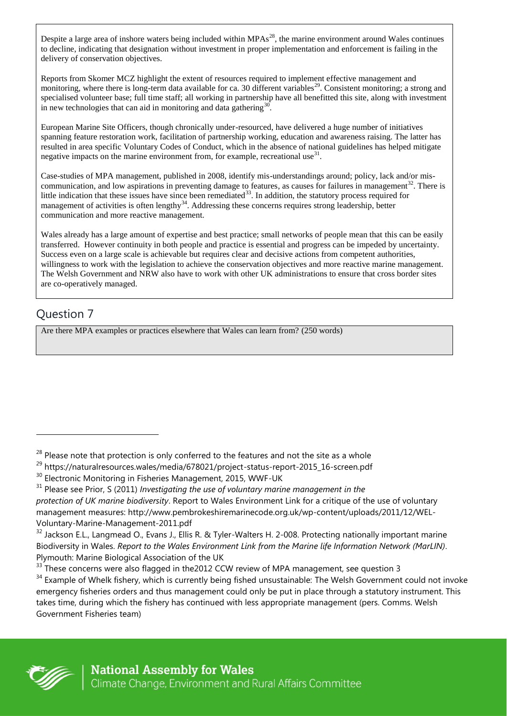Despite a large area of inshore waters being included within  $MPAs<sup>28</sup>$ , the marine environment around Wales continues to decline, indicating that designation without investment in proper implementation and enforcement is failing in the delivery of conservation objectives.

Reports from Skomer MCZ highlight the extent of resources required to implement effective management and monitoring, where there is long-term data available for ca. 30 different variables<sup>29</sup>. Consistent monitoring; a strong and specialised volunteer base; full time staff; all working in partnership have all benefitted this site, along with investment in new technologies that can aid in monitoring and data gathering $30$ .

European Marine Site Officers, though chronically under-resourced, have delivered a huge number of initiatives spanning feature restoration work, facilitation of partnership working, education and awareness raising. The latter has resulted in area specific Voluntary Codes of Conduct, which in the absence of national guidelines has helped mitigate negative impacts on the marine environment from, for example, recreational use $^{31}$ .

Case-studies of MPA management, published in 2008, identify mis-understandings around; policy, lack and/or miscommunication, and low aspirations in preventing damage to features, as causes for failures in management<sup>32</sup>. There is little indication that these issues have since been remediated<sup>33</sup>. In addition, the statutory process required for management of activities is often lengthy<sup>34</sup>. Addressing these concerns requires strong leadership, better communication and more reactive management.

Wales already has a large amount of expertise and best practice; small networks of people mean that this can be easily transferred. However continuity in both people and practice is essential and progress can be impeded by uncertainty. Success even on a large scale is achievable but requires clear and decisive actions from competent authorities, willingness to work with the legislation to achieve the conservation objectives and more reactive marine management. The Welsh Government and NRW also have to work with other UK administrations to ensure that cross border sites are co-operatively managed.

#### Question 7

Are there MPA examples or practices elsewhere that Wales can learn from? (250 words)



 $28$  Please note that protection is only conferred to the features and not the site as a whole

<sup>29</sup> https://naturalresources.wales/media/678021/project-status-report-2015\_16-screen.pdf

<sup>&</sup>lt;sup>30</sup> Electronic Monitoring in Fisheries Management, 2015, WWF-UK

<sup>31</sup> Please see Prior, S (2011) *Investigating the use of voluntary marine management in the protection of UK marine biodiversity*. Report to Wales Environment Link for a critique of the use of voluntary management measures: http://www.pembrokeshiremarinecode.org.uk/wp-content/uploads/2011/12/WEL-Voluntary-Marine-Management-2011.pdf

 $32$  Jackson E.L., Langmead O., Evans J., Ellis R. & Tyler-Walters H. 2-008. Protecting nationally important marine Biodiversity in Wales. *Report to the Wales Environment Link from the Marine life Information Network (MarLIN)*. Plymouth: Marine Biological Association of the UK

<sup>&</sup>lt;sup>33</sup> These concerns were also flagged in the 2012 CCW review of MPA management, see question 3

<sup>&</sup>lt;sup>34</sup> Example of Whelk fishery, which is currently being fished unsustainable: The Welsh Government could not invoke emergency fisheries orders and thus management could only be put in place through a statutory instrument. This takes time, during which the fishery has continued with less appropriate management (pers. Comms. Welsh Government Fisheries team)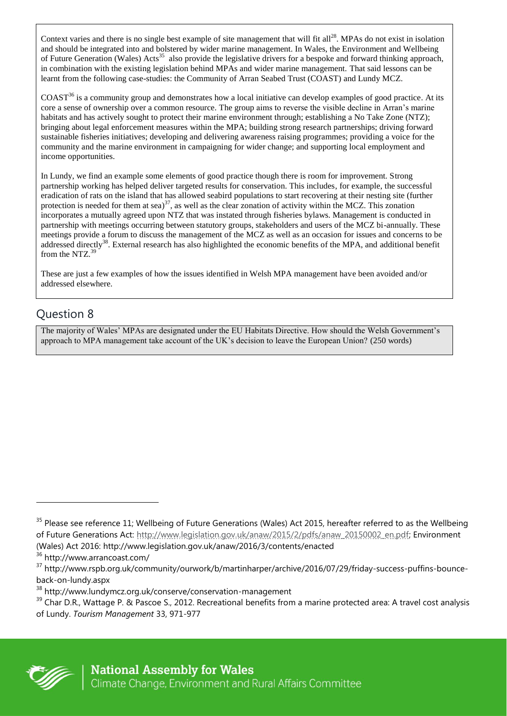Context varies and there is no single best example of site management that will fit all<sup>28</sup>. MPAs do not exist in isolation and should be integrated into and bolstered by wider marine management. In Wales, the Environment and Wellbeing of Future Generation (Wales) Acts<sup>35</sup> also provide the legislative drivers for a bespoke and forward thinking approach, in combination with the existing legislation behind MPAs and wider marine management. That said lessons can be learnt from the following case-studies: the Community of Arran Seabed Trust (COAST) and Lundy MCZ.

 $COAST<sup>36</sup>$  is a community group and demonstrates how a local initiative can develop examples of good practice. At its core a sense of ownership over a common resource. The group aims to reverse the visible decline in Arran's marine habitats and has actively sought to protect their marine environment through; establishing a No Take Zone (NTZ); bringing about legal enforcement measures within the MPA; building strong research partnerships; driving forward sustainable fisheries initiatives; developing and delivering awareness raising programmes; providing a voice for the community and the marine environment in campaigning for wider change; and supporting local employment and income opportunities.

In Lundy, we find an example some elements of good practice though there is room for improvement. Strong partnership working has helped deliver targeted results for conservation. This includes, for example, the successful eradication of rats on the island that has allowed seabird populations to start recovering at their nesting site (further protection is needed for them at sea) $^{37}$ , as well as the clear zonation of activity within the MCZ. This zonation incorporates a mutually agreed upon NTZ that was instated through fisheries bylaws. Management is conducted in partnership with meetings occurring between statutory groups, stakeholders and users of the MCZ bi-annually. These meetings provide a forum to discuss the management of the MCZ as well as an occasion for issues and concerns to be addressed directly<sup>38</sup>. External research has also highlighted the economic benefits of the MPA, and additional benefit from the NTZ. $39$ 

These are just a few examples of how the issues identified in Welsh MPA management have been avoided and/or addressed elsewhere.

#### Question 8

The majority of Wales' MPAs are designated under the EU Habitats Directive. How should the Welsh Government's approach to MPA management take account of the UK's decision to leave the European Union? (250 words)



<sup>&</sup>lt;sup>35</sup> Please see reference 11; Wellbeing of Future Generations (Wales) Act 2015, hereafter referred to as the Wellbeing of Future Generations Act: [http://www.legislation.gov.uk/anaw/2015/2/pdfs/anaw\\_20150002\\_en.pdf;](http://www.legislation.gov.uk/anaw/2015/2/pdfs/anaw_20150002_en.pdf) Environment (Wales) Act 2016: http://www.legislation.gov.uk/anaw/2016/3/contents/enacted

<sup>36</sup> http://www.arrancoast.com/

<sup>37</sup> http://www.rspb.org.uk/community/ourwork/b/martinharper/archive/2016/07/29/friday-success-puffins-bounceback-on-lundy.aspx

<sup>38</sup> http://www.lundymcz.org.uk/conserve/conservation-management

 $39$  Char D.R., Wattage P. & Pascoe S., 2012. Recreational benefits from a marine protected area: A travel cost analysis of Lundy. *Tourism Management* 33, 971-977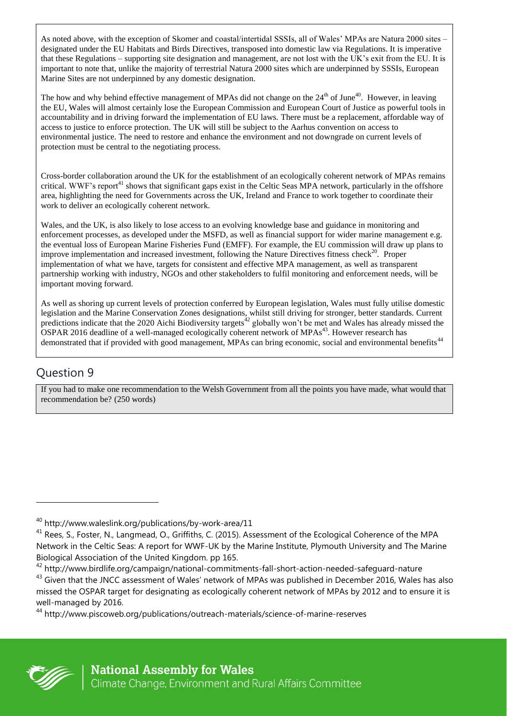As noted above, with the exception of Skomer and coastal/intertidal SSSIs, all of Wales' MPAs are Natura 2000 sites – designated under the EU Habitats and Birds Directives, transposed into domestic law via Regulations. It is imperative that these Regulations – supporting site designation and management, are not lost with the UK's exit from the EU. It is important to note that, unlike the majority of terrestrial Natura 2000 sites which are underpinned by SSSIs, European Marine Sites are not underpinned by any domestic designation.

The how and why behind effective management of MPAs did not change on the 24<sup>th</sup> of June<sup>40</sup>. However, in leaving the EU, Wales will almost certainly lose the European Commission and European Court of Justice as powerful tools in accountability and in driving forward the implementation of EU laws. There must be a replacement, affordable way of access to justice to enforce protection. The UK will still be subject to the Aarhus convention on access to environmental justice. The need to restore and enhance the environment and not downgrade on current levels of protection must be central to the negotiating process.

Cross-border collaboration around the UK for the establishment of an ecologically coherent network of MPAs remains critical. WWF's report<sup>41</sup> shows that significant gaps exist in the Celtic Seas MPA network, particularly in the offshore area, highlighting the need for Governments across the UK, Ireland and France to work together to coordinate their work to deliver an ecologically coherent network.

Wales, and the UK, is also likely to lose access to an evolving knowledge base and guidance in monitoring and enforcement processes, as developed under the MSFD, as well as financial support for wider marine management e.g. the eventual loss of European Marine Fisheries Fund (EMFF). For example, the EU commission will draw up plans to improve implementation and increased investment, following the Nature Directives fitness check<sup>20</sup>. Proper implementation of what we have, targets for consistent and effective MPA management, as well as transparent partnership working with industry, NGOs and other stakeholders to fulfil monitoring and enforcement needs, will be important moving forward.

As well as shoring up current levels of protection conferred by European legislation, Wales must fully utilise domestic legislation and the Marine Conservation Zones designations, whilst still driving for stronger, better standards. Current predictions indicate that the 2020 Aichi Biodiversity targets<sup>42</sup> globally won't be met and Wales has already missed the OSPAR 2016 deadline of a well-managed ecologically coherent network of MPAs<sup>43</sup>. However research has demonstrated that if provided with good management, MPAs can bring economic, social and environmental benefits<sup>44</sup>

# Question 9

If you had to make one recommendation to the Welsh Government from all the points you have made, what would that recommendation be? (250 words)



<sup>40</sup> http://www.waleslink.org/publications/by-work-area/11

<sup>&</sup>lt;sup>41</sup> Rees, S., Foster, N., Langmead, O., Griffiths, C. (2015). Assessment of the Ecological Coherence of the MPA Network in the Celtic Seas: A report for WWF-UK by the Marine Institute, Plymouth University and The Marine Biological Association of the United Kingdom. pp 165.

<sup>42</sup> http://www.birdlife.org/campaign/national-commitments-fall-short-action-needed-safeguard-nature <sup>43</sup> Given that the JNCC assessment of Wales' network of MPAs was published in December 2016, Wales has also missed the OSPAR target for designating as ecologically coherent network of MPAs by 2012 and to ensure it is well-managed by 2016.

<sup>44</sup> http://www.piscoweb.org/publications/outreach-materials/science-of-marine-reserves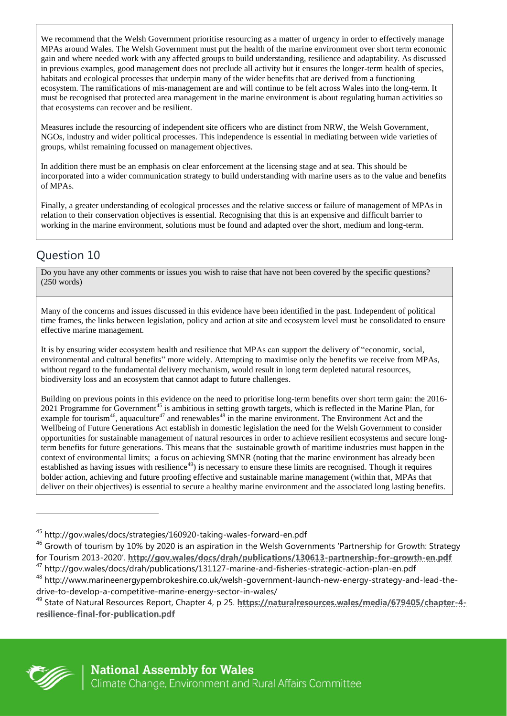We recommend that the Welsh Government prioritise resourcing as a matter of urgency in order to effectively manage MPAs around Wales. The Welsh Government must put the health of the marine environment over short term economic gain and where needed work with any affected groups to build understanding, resilience and adaptability. As discussed in previous examples, good management does not preclude all activity but it ensures the longer-term health of species, habitats and ecological processes that underpin many of the wider benefits that are derived from a functioning ecosystem. The ramifications of mis-management are and will continue to be felt across Wales into the long-term. It must be recognised that protected area management in the marine environment is about regulating human activities so that ecosystems can recover and be resilient.

Measures include the resourcing of independent site officers who are distinct from NRW, the Welsh Government, NGOs, industry and wider political processes. This independence is essential in mediating between wide varieties of groups, whilst remaining focussed on management objectives.

In addition there must be an emphasis on clear enforcement at the licensing stage and at sea. This should be incorporated into a wider communication strategy to build understanding with marine users as to the value and benefits of MPAs.

Finally, a greater understanding of ecological processes and the relative success or failure of management of MPAs in relation to their conservation objectives is essential. Recognising that this is an expensive and difficult barrier to working in the marine environment, solutions must be found and adapted over the short, medium and long-term.

# Question 10

Do you have any other comments or issues you wish to raise that have not been covered by the specific questions? (250 words)

Many of the concerns and issues discussed in this evidence have been identified in the past. Independent of political time frames, the links between legislation, policy and action at site and ecosystem level must be consolidated to ensure effective marine management.

It is by ensuring wider ecosystem health and resilience that MPAs can support the delivery of "economic, social, environmental and cultural benefits" more widely. Attempting to maximise only the benefits we receive from MPAs, without regard to the fundamental delivery mechanism, would result in long term depleted natural resources, biodiversity loss and an ecosystem that cannot adapt to future challenges.

Building on previous points in this evidence on the need to prioritise long-term benefits over short term gain: the 2016- 2021 Programme for Government<sup>45</sup> is ambitious in setting growth targets, which is reflected in the Marine Plan, for example for tourism<sup>46</sup>, aquaculture<sup>47</sup> and renewables<sup>48</sup> in the marine environment. The Environment Act and the Wellbeing of Future Generations Act establish in domestic legislation the need for the Welsh Government to consider opportunities for sustainable management of natural resources in order to achieve resilient ecosystems and secure longterm benefits for future generations. This means that the sustainable growth of maritime industries must happen in the context of environmental limits; a focus on achieving SMNR (noting that the marine environment has already been established as having issues with resilience<sup>49</sup>) is necessary to ensure these limits are recognised. Though it requires bolder action, achieving and future proofing effective and sustainable marine management (within that, MPAs that deliver on their objectives) is essential to secure a healthy marine environment and the associated long lasting benefits.



l

<sup>45</sup> http://gov.wales/docs/strategies/160920-taking-wales-forward-en.pdf

 $46$  Growth of tourism by 10% by 2020 is an aspiration in the Welsh Governments 'Partnership for Growth: Strategy for Tourism 2013-2020'. **<http://gov.wales/docs/drah/publications/130613-partnership-for-growth-en.pdf>**

<sup>47</sup> http://gov.wales/docs/drah/publications/131127-marine-and-fisheries-strategic-action-plan-en.pdf

<sup>48</sup> http://www.marineenergypembrokeshire.co.uk/welsh-government-launch-new-energy-strategy-and-lead-thedrive-to-develop-a-competitive-marine-energy-sector-in-wales/

<sup>49</sup> State of Natural Resources Report, Chapter 4, p 25. **[https://naturalresources.wales/media/679405/chapter-4](https://naturalresources.wales/media/679405/chapter-4-resilience-final-for-publication.pdf) [resilience-final-for-publication.pdf](https://naturalresources.wales/media/679405/chapter-4-resilience-final-for-publication.pdf)**